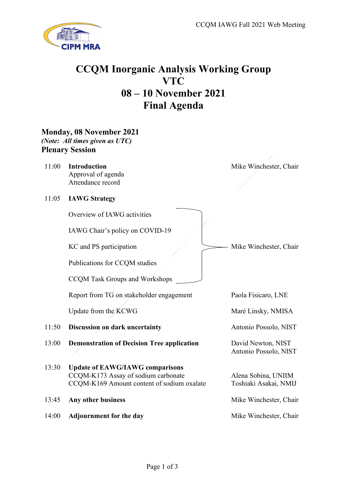

## **CCQM Inorganic Analysis Working Group VTC 08 – 10 November 2021 Final Agenda**

**Monday, 08 November 2021** *(Note: All times given as UTC)* **Plenary Session**

11:00 **Introduction** Approval of agenda Attendance record

Mike Winchester, Chair

Mike Winchester, Chair

Paola Fisicaro, LNE

Maré Linsky, NMISA

Antonio Possolo, NIST

Alena Sobina, UNIIM Toshiaki Asakai, NMIJ

11:05 **IAWG Strategy**

Overview of IAWG activities

IAWG Chair's policy on COVID-19

KC and PS participation

Publications for CCQM studies

CCQM Task Groups and Workshops

Report from TG on stakeholder engagement

Update from the KCWG

- 11:50 **Discussion on dark uncertainty** Antonio Possolo, NIST
- 13:00 **Demonstration of Decision Tree application** David Newton, NIST
- 13:30 **Update of EAWG/IAWG comparisons** CCQM-K173 Assay of sodium carbonate CCQM-K169 Amount content of sodium oxalate

13:45 **Any other business** Mike Winchester, Chair

14:00 **Adjournment for the day** Mike Winchester, Chair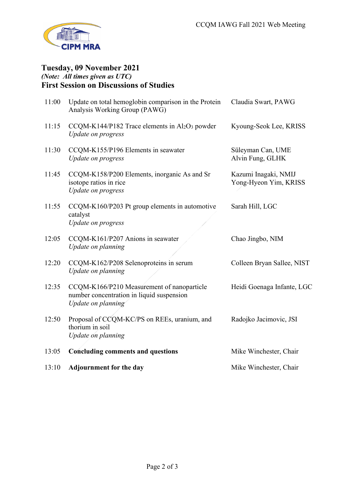

## **Tuesday, 09 November 2021** *(Note: All times given as UTC)* **First Session on Discussions of Studies**

| 11:00 | Update on total hemoglobin comparison in the Protein<br>Analysis Working Group (PAWG)                         | Claudia Swart, PAWG                           |
|-------|---------------------------------------------------------------------------------------------------------------|-----------------------------------------------|
| 11:15 | CCQM-K144/P182 Trace elements in $Al_2O_3$ powder<br>Update on progress                                       | Kyoung-Seok Lee, KRISS                        |
| 11:30 | CCQM-K155/P196 Elements in seawater<br>Update on progress                                                     | Süleyman Can, UME<br>Alvin Fung, GLHK         |
| 11:45 | CCQM-K158/P200 Elements, inorganic As and Sr<br>isotope ratios in rice<br><b>Update on progress</b>           | Kazumi Inagaki, NMIJ<br>Yong-Hyeon Yim, KRISS |
| 11:55 | CCQM-K160/P203 Pt group elements in automotive<br>catalyst<br><b>Update on progress</b>                       | Sarah Hill, LGC                               |
| 12:05 | CCQM-K161/P207 Anions in seawater<br>Update on planning                                                       | Chao Jingbo, NIM                              |
| 12:20 | CCQM-K162/P208 Selenoproteins in serum<br>Update on planning                                                  | Colleen Bryan Sallee, NIST                    |
| 12:35 | CCQM-K166/P210 Measurement of nanoparticle<br>number concentration in liquid suspension<br>Update on planning | Heidi Goenaga Infante, LGC                    |
| 12:50 | Proposal of CCQM-KC/PS on REEs, uranium, and<br>thorium in soil<br>Update on planning                         | Radojko Jacimovic, JSI                        |
| 13:05 | <b>Concluding comments and questions</b>                                                                      | Mike Winchester, Chair                        |
| 13:10 | <b>Adjournment for the day</b>                                                                                | Mike Winchester, Chair                        |